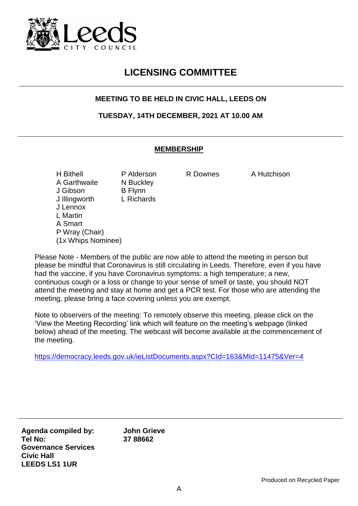

## **LICENSING COMMITTEE**

## **MEETING TO BE HELD IN CIVIC HALL, LEEDS ON**

**TUESDAY, 14TH DECEMBER, 2021 AT 10.00 AM**

## **MEMBERSHIP**

H Bithell **P Alderson** R Downes A Hutchison A Garthwaite N Buckley J Gibson B Flynn J Illingworth L Richards J Lennox L Martin A Smart P Wray (Chair) (1x Whips Nominee)

Please Note - Members of the public are now able to attend the meeting in person but please be mindful that Coronavirus is still circulating in Leeds. Therefore, even if you have had the vaccine, if you have Coronavirus symptoms: a high temperature; a new, continuous cough or a loss or change to your sense of smell or taste, you should NOT attend the meeting and stay at home and get a PCR test. For those who are attending the meeting, please bring a face covering unless you are exempt.

Note to observers of the meeting: To remotely observe this meeting, please click on the 'View the Meeting Recording' link which will feature on the meeting's webpage (linked below) ahead of the meeting. The webcast will become available at the commencement of the meeting.

<https://democracy.leeds.gov.uk/ieListDocuments.aspx?CId=163&MId=11475&Ver=4>

**Agenda compiled by: Tel No: Governance Services Civic Hall LEEDS LS1 1UR**

**John Grieve 37 88662**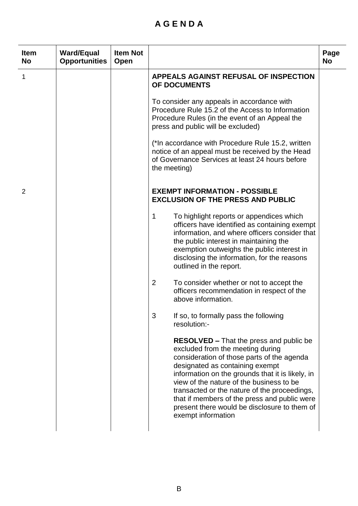## **A G E N D A**

| <b>Item</b><br><b>No</b> | <b>Ward/Equal</b><br><b>Opportunities</b> | <b>Item Not</b><br>Open |                                                                                                                                                                                                                                                                                                                                                                                                                                           | Page<br><b>No</b> |
|--------------------------|-------------------------------------------|-------------------------|-------------------------------------------------------------------------------------------------------------------------------------------------------------------------------------------------------------------------------------------------------------------------------------------------------------------------------------------------------------------------------------------------------------------------------------------|-------------------|
| 1                        |                                           |                         | <b>APPEALS AGAINST REFUSAL OF INSPECTION</b><br>OF DOCUMENTS                                                                                                                                                                                                                                                                                                                                                                              |                   |
|                          |                                           |                         | To consider any appeals in accordance with<br>Procedure Rule 15.2 of the Access to Information<br>Procedure Rules (in the event of an Appeal the<br>press and public will be excluded)                                                                                                                                                                                                                                                    |                   |
|                          |                                           |                         | (*In accordance with Procedure Rule 15.2, written<br>notice of an appeal must be received by the Head<br>of Governance Services at least 24 hours before<br>the meeting)                                                                                                                                                                                                                                                                  |                   |
| 2                        |                                           |                         | <b>EXEMPT INFORMATION - POSSIBLE</b><br><b>EXCLUSION OF THE PRESS AND PUBLIC</b>                                                                                                                                                                                                                                                                                                                                                          |                   |
|                          |                                           |                         | 1<br>To highlight reports or appendices which<br>officers have identified as containing exempt<br>information, and where officers consider that<br>the public interest in maintaining the<br>exemption outweighs the public interest in<br>disclosing the information, for the reasons<br>outlined in the report.                                                                                                                         |                   |
|                          |                                           |                         | $\overline{2}$<br>To consider whether or not to accept the<br>officers recommendation in respect of the<br>above information.                                                                                                                                                                                                                                                                                                             |                   |
|                          |                                           |                         | 3<br>If so, to formally pass the following<br>resolution:-                                                                                                                                                                                                                                                                                                                                                                                |                   |
|                          |                                           |                         | <b>RESOLVED</b> – That the press and public be<br>excluded from the meeting during<br>consideration of those parts of the agenda<br>designated as containing exempt<br>information on the grounds that it is likely, in<br>view of the nature of the business to be<br>transacted or the nature of the proceedings,<br>that if members of the press and public were<br>present there would be disclosure to them of<br>exempt information |                   |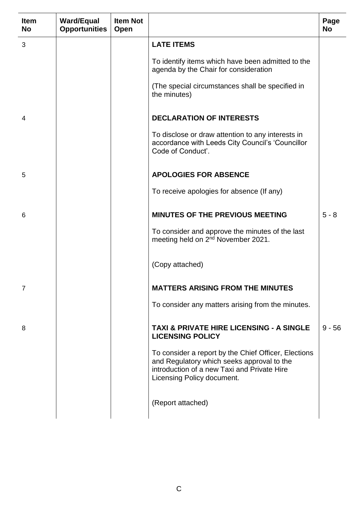| <b>Item</b><br><b>No</b> | <b>Ward/Equal</b><br><b>Opportunities</b> | <b>Item Not</b><br>Open |                                                                                                                                                                                 | Page<br><b>No</b> |
|--------------------------|-------------------------------------------|-------------------------|---------------------------------------------------------------------------------------------------------------------------------------------------------------------------------|-------------------|
| 3                        |                                           |                         | <b>LATE ITEMS</b>                                                                                                                                                               |                   |
|                          |                                           |                         | To identify items which have been admitted to the<br>agenda by the Chair for consideration                                                                                      |                   |
|                          |                                           |                         | (The special circumstances shall be specified in<br>the minutes)                                                                                                                |                   |
| 4                        |                                           |                         | <b>DECLARATION OF INTERESTS</b>                                                                                                                                                 |                   |
|                          |                                           |                         | To disclose or draw attention to any interests in<br>accordance with Leeds City Council's 'Councillor<br>Code of Conduct'.                                                      |                   |
| 5                        |                                           |                         | <b>APOLOGIES FOR ABSENCE</b>                                                                                                                                                    |                   |
|                          |                                           |                         | To receive apologies for absence (If any)                                                                                                                                       |                   |
| 6                        |                                           |                         | <b>MINUTES OF THE PREVIOUS MEETING</b>                                                                                                                                          | $5 - 8$           |
|                          |                                           |                         | To consider and approve the minutes of the last<br>meeting held on 2 <sup>nd</sup> November 2021.                                                                               |                   |
|                          |                                           |                         | (Copy attached)                                                                                                                                                                 |                   |
| 7                        |                                           |                         | <b>MATTERS ARISING FROM THE MINUTES</b>                                                                                                                                         |                   |
|                          |                                           |                         | To consider any matters arising from the minutes.                                                                                                                               |                   |
| 8                        |                                           |                         | <b>TAXI &amp; PRIVATE HIRE LICENSING - A SINGLE</b><br><b>LICENSING POLICY</b>                                                                                                  | $9 - 56$          |
|                          |                                           |                         | To consider a report by the Chief Officer, Elections<br>and Regulatory which seeks approval to the<br>introduction of a new Taxi and Private Hire<br>Licensing Policy document. |                   |
|                          |                                           |                         | (Report attached)                                                                                                                                                               |                   |